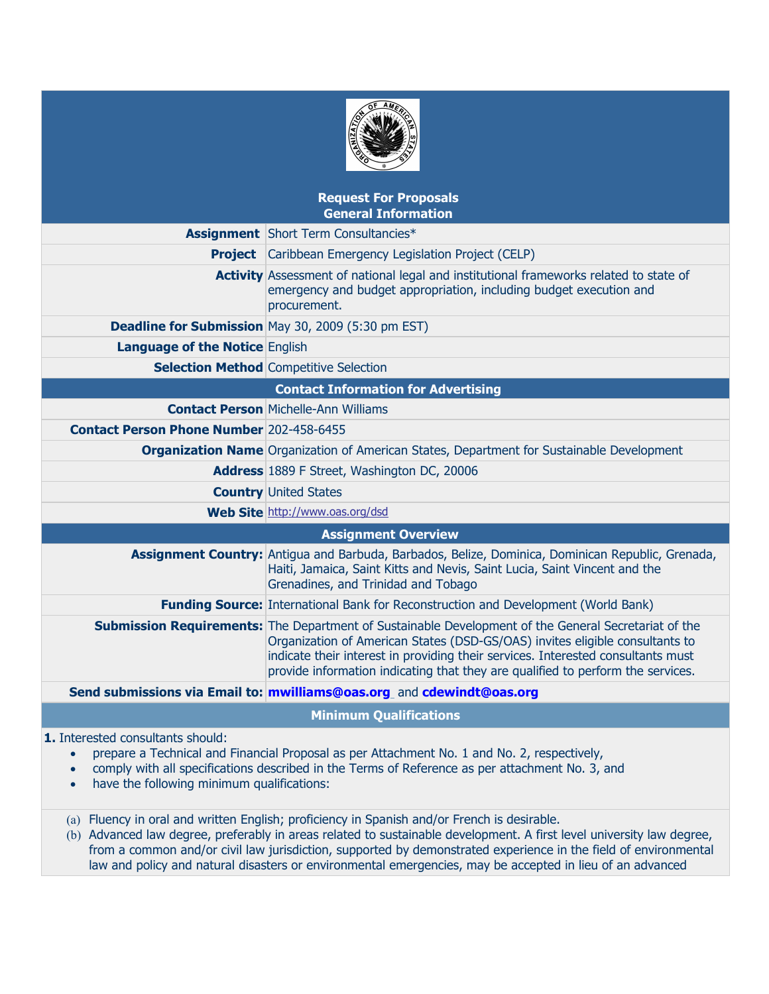| AMER.<br>æ |  |
|------------|--|
|            |  |

# **Request For Proposals General Information Assignment** Short Term Consultancies\* **Project** Caribbean Emergency Legislation Project (CELP) **Activity** Assessment of national legal and institutional frameworks related to state of emergency and budget appropriation, including budget execution and procurement. **Deadline for Submission** May 30, 2009 (5:30 pm EST) **Language of the Notice** English **Selection Method** Competitive Selection **Contact Information for Advertising Contact Person** Michelle-Ann Williams **Contact Person Phone Number** 202-458-6455 **Organization Name** Organization of American States, Department for Sustainable Development **Address** 1889 F Street, Washington DC, 20006 **Country** United States **Web Site** http://www.oas.org/dsd  **Assignment Overview Assignment Country:** Antigua and Barbuda, Barbados, Belize, Dominica, Dominican Republic, Grenada, Haiti, Jamaica, Saint Kitts and Nevis, Saint Lucia, Saint Vincent and the Grenadines, and Trinidad and Tobago **Funding Source:** International Bank for Reconstruction and Development (World Bank) **Submission Requirements:** The Department of Sustainable Development of the General Secretariat of the Organization of American States (DSD-GS/OAS) invites eligible consultants to indicate their interest in providing their services. Interested consultants must provide information indicating that they are qualified to perform the services. **Send submissions via Email to: [mwilliams@oas.org](mailto:mwilliams@oas.org)** and **[cdewindt@oas.org](mailto:cdewindt@oas.org)**

**Minimum Qualifications** 

**1.** Interested consultants should:

- prepare a Technical and Financial Proposal as per Attachment No. 1 and No. 2, respectively,
- comply with all specifications described in the Terms of Reference as per attachment No. 3, and
- have the following minimum qualifications:
- (a) Fluency in oral and written English; proficiency in Spanish and/or French is desirable.
- (b) Advanced law degree, preferably in areas related to sustainable development. A first level university law degree, from a common and/or civil law jurisdiction, supported by demonstrated experience in the field of environmental law and policy and natural disasters or environmental emergencies, may be accepted in lieu of an advanced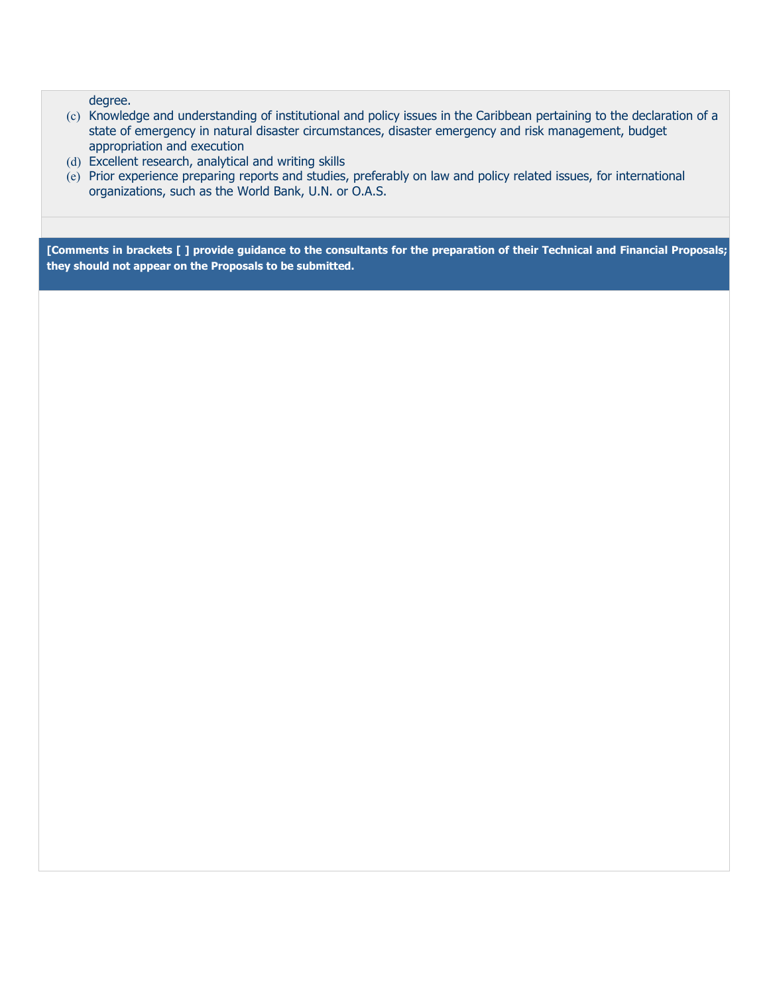degree.

- (c) Knowledge and understanding of institutional and policy issues in the Caribbean pertaining to the declaration of a state of emergency in natural disaster circumstances, disaster emergency and risk management, budget appropriation and execution
- (d) Excellent research, analytical and writing skills
- (e) Prior experience preparing reports and studies, preferably on law and policy related issues, for international organizations, such as the World Bank, U.N. or O.A.S.

**[Comments in brackets [ ] provide guidance to the consultants for the preparation of their Technical and Financial Proposals; they should not appear on the Proposals to be submitted.**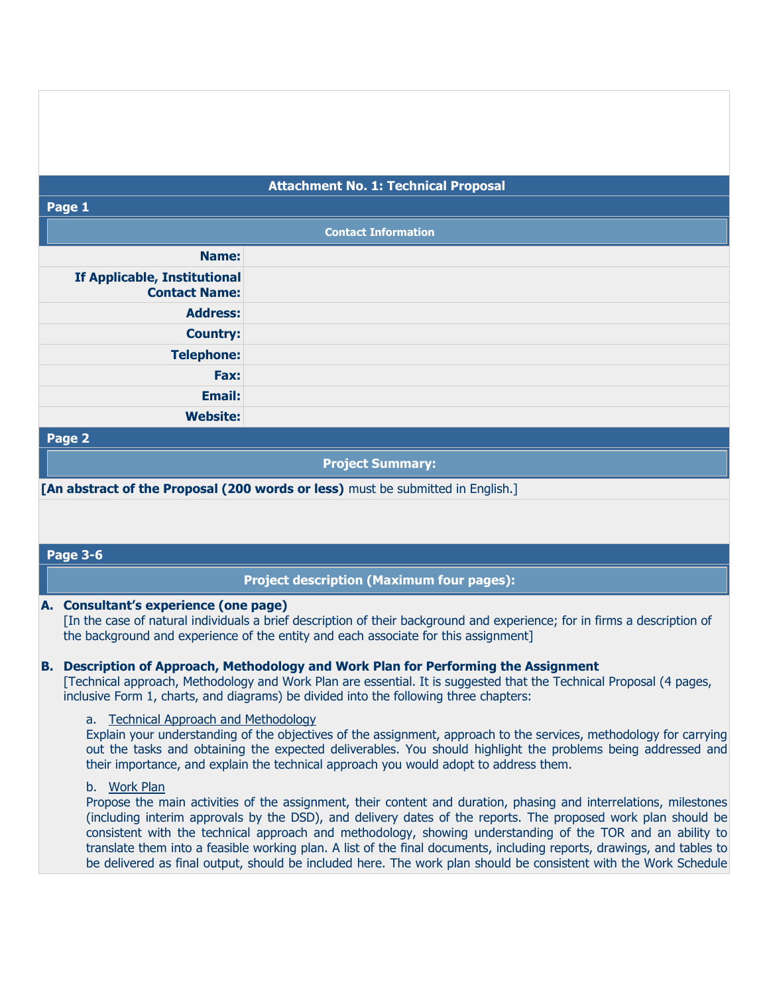## **Attachment No. 1: Technical Proposal**

#### **Page 1**

|                                                      | <b>Contact Information</b> |
|------------------------------------------------------|----------------------------|
| Name:                                                |                            |
| If Applicable, Institutional<br><b>Contact Name:</b> |                            |
| <b>Address:</b>                                      |                            |
| <b>Country:</b>                                      |                            |
| <b>Telephone:</b>                                    |                            |
| Fax:                                                 |                            |
| Email:                                               |                            |
| <b>Website:</b>                                      |                            |

#### **Page 2**

**Project Summary:**

**[An abstract of the Proposal (200 words or less)** must be submitted in English.]

## **Page 3-6**

## **Project description (Maximum four pages):**

#### **A. Consultant's experience (one page)**

[In the case of natural individuals a brief description of their background and experience; for in firms a description of the background and experience of the entity and each associate for this assignment]

### **B. Description of Approach, Methodology and Work Plan for Performing the Assignment**

[Technical approach, Methodology and Work Plan are essential. It is suggested that the Technical Proposal (4 pages, inclusive Form 1, charts, and diagrams) be divided into the following three chapters:

#### a. Technical Approach and Methodology

Explain your understanding of the objectives of the assignment, approach to the services, methodology for carrying out the tasks and obtaining the expected deliverables. You should highlight the problems being addressed and their importance, and explain the technical approach you would adopt to address them.

## b. Work Plan

Propose the main activities of the assignment, their content and duration, phasing and interrelations, milestones (including interim approvals by the DSD), and delivery dates of the reports. The proposed work plan should be consistent with the technical approach and methodology, showing understanding of the TOR and an ability to translate them into a feasible working plan. A list of the final documents, including reports, drawings, and tables to be delivered as final output, should be included here. The work plan should be consistent with the Work Schedule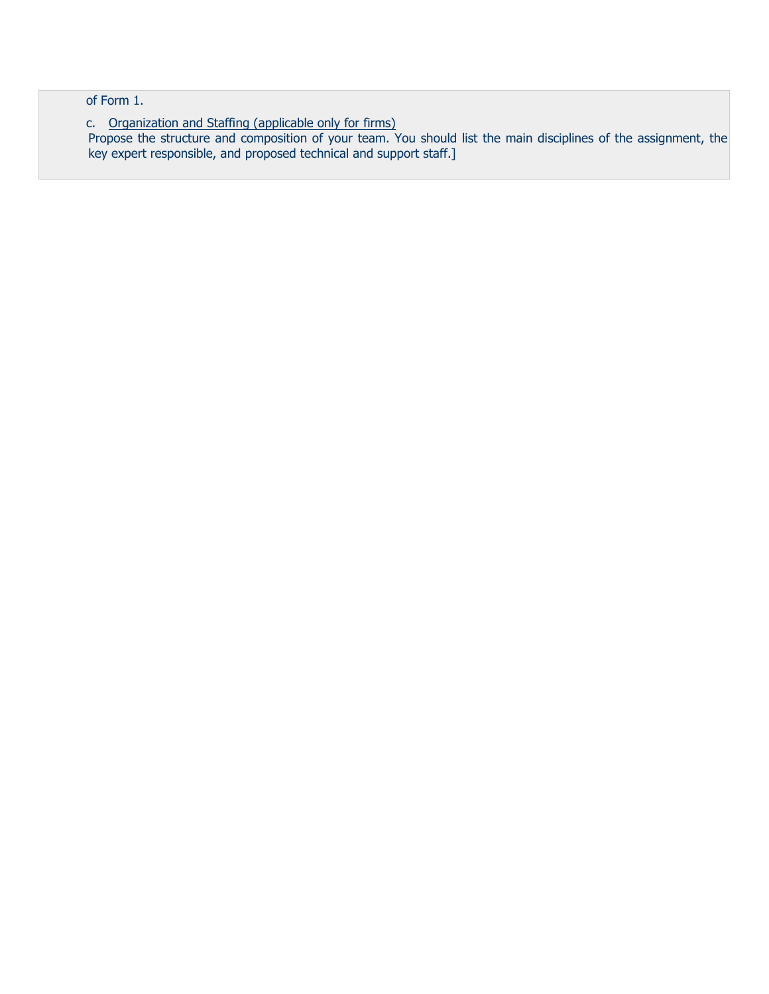of Form 1.

c. Organization and Staffing (applicable only for firms) Propose the structure and composition of your team. You should list the main disciplines of the assignment, the key expert responsible, and proposed technical and support staff.]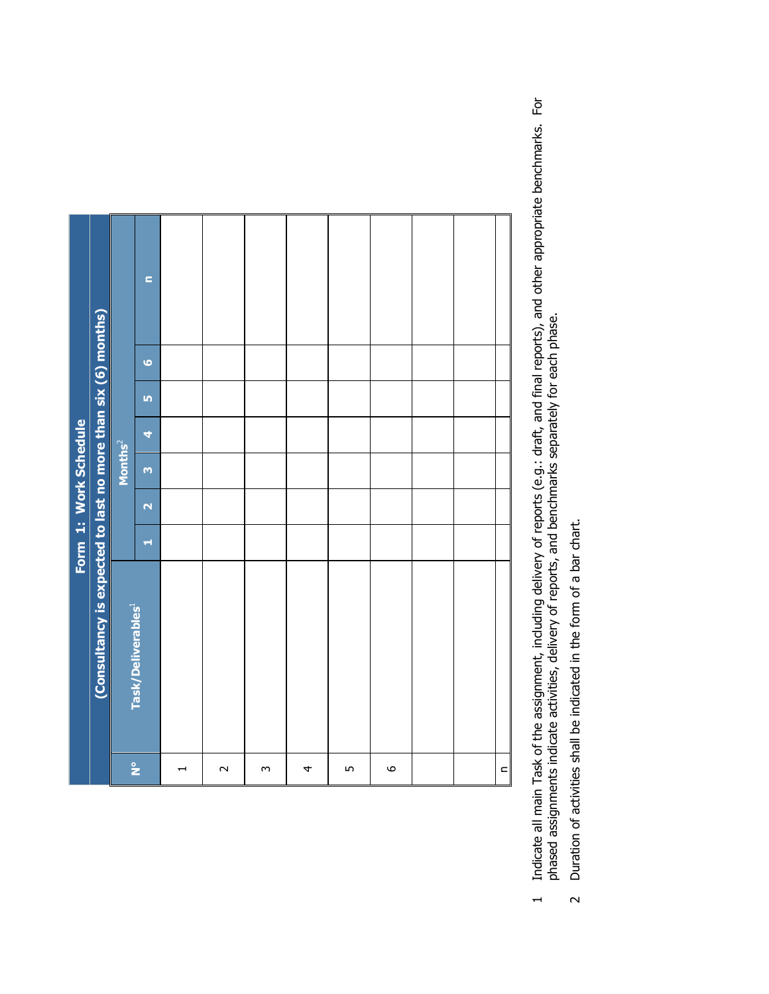|               |                                                               | Form 1: Work Schedule |                         |                     |   |           |           |                |  |
|---------------|---------------------------------------------------------------|-----------------------|-------------------------|---------------------|---|-----------|-----------|----------------|--|
|               | (Consultancy is expected to last no more than six (6) months) |                       |                         |                     |   |           |           |                |  |
|               |                                                               |                       |                         | Months <sup>2</sup> |   |           |           |                |  |
| $\frac{1}{2}$ | Task/Deliverables <sup>1</sup>                                | H                     | $\overline{\mathbf{N}}$ | $\mathbf{m}$        | 4 | <b>In</b> | $\bullet$ | $\blacksquare$ |  |
|               |                                                               |                       |                         |                     |   |           |           |                |  |
| $\sim$        |                                                               |                       |                         |                     |   |           |           |                |  |
| $\infty$      |                                                               |                       |                         |                     |   |           |           |                |  |
| 4             |                                                               |                       |                         |                     |   |           |           |                |  |
| 5             |                                                               |                       |                         |                     |   |           |           |                |  |
| $\circ$       |                                                               |                       |                         |                     |   |           |           |                |  |
|               |                                                               |                       |                         |                     |   |           |           |                |  |
|               |                                                               |                       |                         |                     |   |           |           |                |  |
| $\subset$     |                                                               |                       |                         |                     |   |           |           |                |  |

Indicate all main Task of the assignment, including delivery of reports (e.g.: draft, and final reports), and other appropriate benchmarks. For<br>phased assignments indicate activities, delivery of reports, and benchmarks se 1 Indicate all main Task of the assignment, including delivery of reports (e.g.: draft, and final reports), and other appropriate benchmarks. For phased assignments indicate activities, delivery of reports, and benchmarks separately for each phase.  $\overline{a}$ 

**p** is the contract of the contract of the contract of the contract of the contract of the contract of the contract of the contract of the contract of the contract of the contract of the contract of the contract of the con

2 Duration of activities shall be indicated in the form of a bar chart. Duration of activities shall be indicated in the form of a bar chart.  $\overline{c}$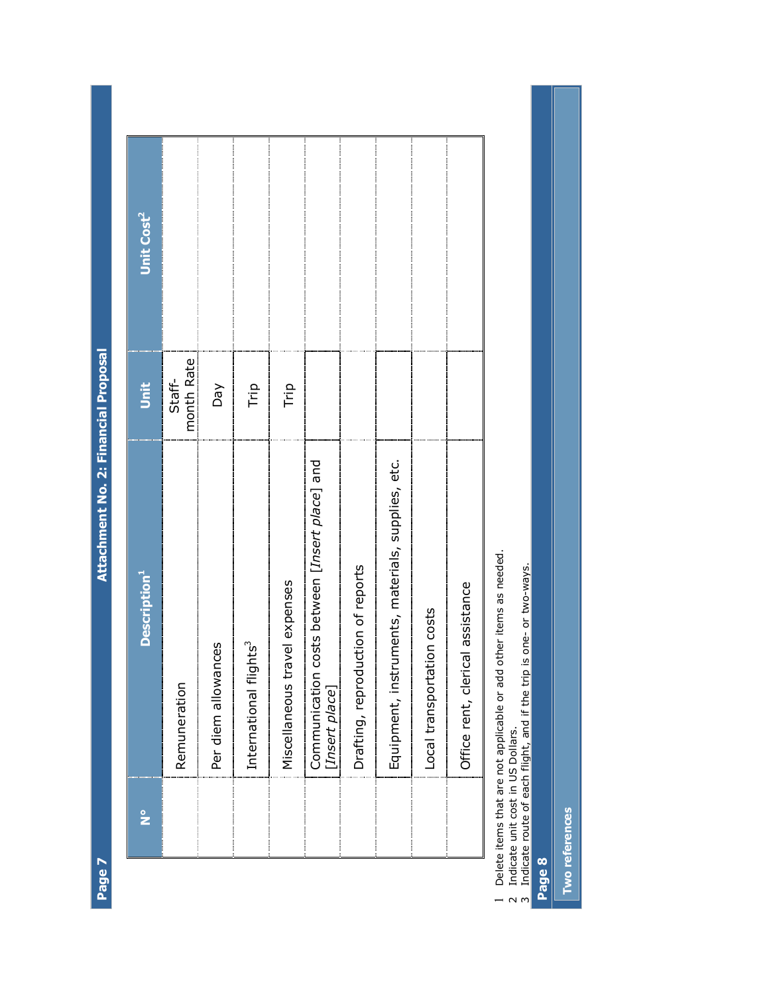Attachment No. 2: Financial Proposal **Page 7 Attachment No. 2: Financial Proposal** 

| $\frac{1}{2}$ | <b>Description</b> <sup>1</sup>                                       | Unit                 | Unit Cost <sup>2</sup> |
|---------------|-----------------------------------------------------------------------|----------------------|------------------------|
|               | Remuneration                                                          | month Rate<br>Staff- |                        |
|               | Per diem allowances                                                   | Day                  |                        |
|               | International flights <sup>3</sup>                                    | Trip                 |                        |
|               | travel expenses<br>Miscellaneous                                      | Trip                 |                        |
|               | n costs between [Insert place] and<br>Communication<br>[Insert place] |                      |                        |
|               | Drafting, reproduction of reports                                     |                      |                        |
|               | Equipment, instruments, materials, supplies, etc.                     |                      |                        |
|               | Local transportation costs                                            |                      |                        |
|               | Office rent, clerical assistance                                      |                      |                        |
|               | ate items that are not anniicable or add other items as needed        |                      |                        |

1 Delete items that are not applicable or add other items as needed. וה<br>הבוור של הבחברת 1 Delete items that are not applicable or add other items as needed<br>2 Indicate unit cost in US Dollars.<br>3 Indicate route of each flight, and if the trip is one- or two-ways.

2 Indicate unit cost in US Dollars.

3 Indicate route of each flight, and if the trip is one- or two-ways.

**Page 8** 

Two references **Two references** 

Page 7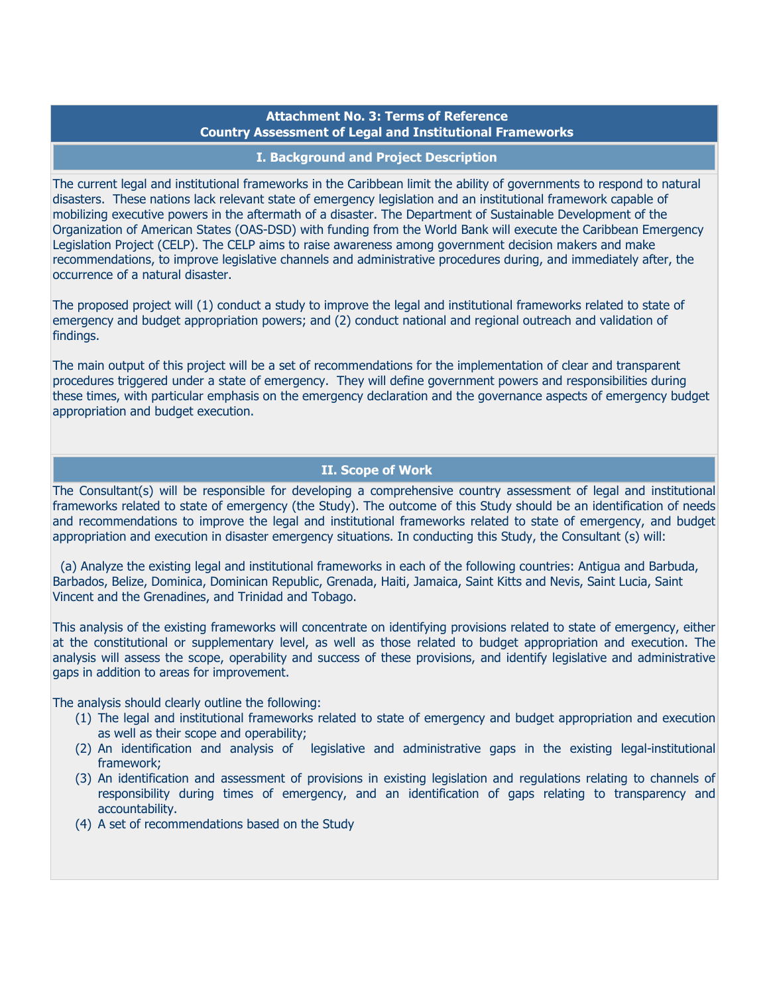# **Attachment No. 3: Terms of Reference Country Assessment of Legal and Institutional Frameworks**

### **I. Background and Project Description**

The current legal and institutional frameworks in the Caribbean limit the ability of governments to respond to natural disasters. These nations lack relevant state of emergency legislation and an institutional framework capable of mobilizing executive powers in the aftermath of a disaster. The Department of Sustainable Development of the Organization of American States (OAS-DSD) with funding from the World Bank will execute the Caribbean Emergency Legislation Project (CELP). The CELP aims to raise awareness among government decision makers and make recommendations, to improve legislative channels and administrative procedures during, and immediately after, the occurrence of a natural disaster.

The proposed project will (1) conduct a study to improve the legal and institutional frameworks related to state of emergency and budget appropriation powers; and (2) conduct national and regional outreach and validation of findings.

The main output of this project will be a set of recommendations for the implementation of clear and transparent procedures triggered under a state of emergency. They will define government powers and responsibilities during these times, with particular emphasis on the emergency declaration and the governance aspects of emergency budget appropriation and budget execution.

## **II. Scope of Work**

The Consultant(s) will be responsible for developing a comprehensive country assessment of legal and institutional frameworks related to state of emergency (the Study). The outcome of this Study should be an identification of needs and recommendations to improve the legal and institutional frameworks related to state of emergency, and budget appropriation and execution in disaster emergency situations. In conducting this Study, the Consultant (s) will:

 (a) Analyze the existing legal and institutional frameworks in each of the following countries: Antigua and Barbuda, Barbados, Belize, Dominica, Dominican Republic, Grenada, Haiti, Jamaica, Saint Kitts and Nevis, Saint Lucia, Saint Vincent and the Grenadines, and Trinidad and Tobago.

This analysis of the existing frameworks will concentrate on identifying provisions related to state of emergency, either at the constitutional or supplementary level, as well as those related to budget appropriation and execution. The analysis will assess the scope, operability and success of these provisions, and identify legislative and administrative gaps in addition to areas for improvement.

The analysis should clearly outline the following:

- (1) The legal and institutional frameworks related to state of emergency and budget appropriation and execution as well as their scope and operability;
- (2) An identification and analysis of legislative and administrative gaps in the existing legal-institutional framework;
- (3) An identification and assessment of provisions in existing legislation and regulations relating to channels of responsibility during times of emergency, and an identification of gaps relating to transparency and accountability.
- (4) A set of recommendations based on the Study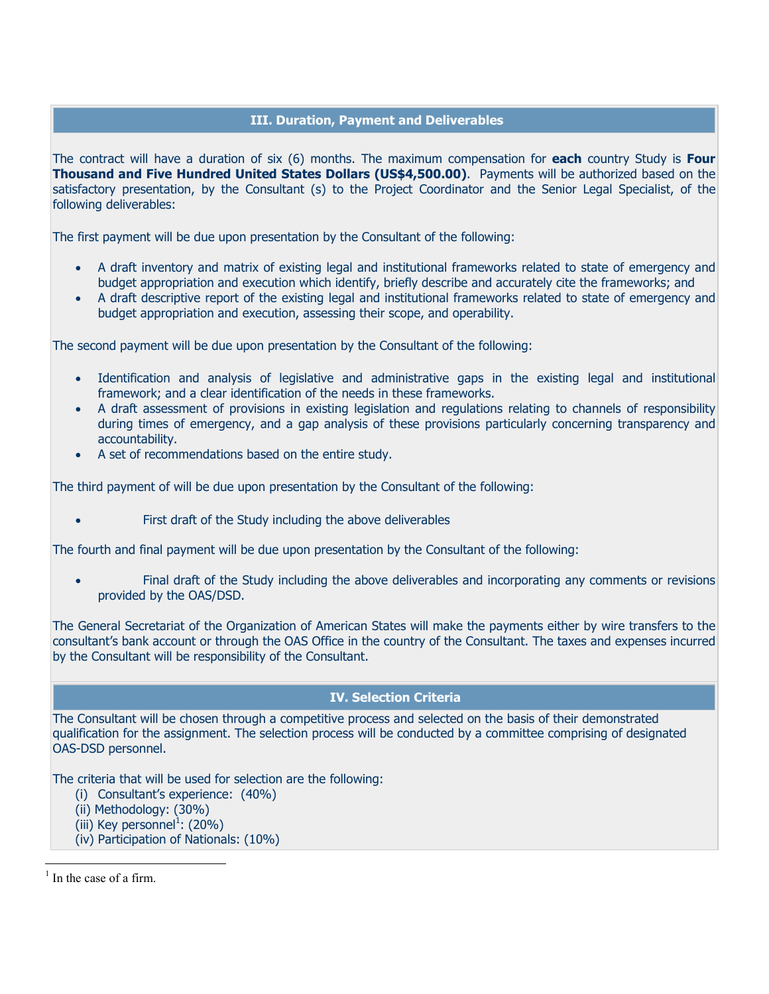# **III. Duration, Payment and Deliverables**

The contract will have a duration of six (6) months. The maximum compensation for **each** country Study is **Four Thousand and Five Hundred United States Dollars (US\$4,500.00)**. Payments will be authorized based on the satisfactory presentation, by the Consultant (s) to the Project Coordinator and the Senior Legal Specialist, of the following deliverables:

The first payment will be due upon presentation by the Consultant of the following:

- A draft inventory and matrix of existing legal and institutional frameworks related to state of emergency and budget appropriation and execution which identify, briefly describe and accurately cite the frameworks; and
- A draft descriptive report of the existing legal and institutional frameworks related to state of emergency and budget appropriation and execution, assessing their scope, and operability.

The second payment will be due upon presentation by the Consultant of the following:

- Identification and analysis of legislative and administrative gaps in the existing legal and institutional framework; and a clear identification of the needs in these frameworks.
- A draft assessment of provisions in existing legislation and regulations relating to channels of responsibility during times of emergency, and a gap analysis of these provisions particularly concerning transparency and accountability.
- A set of recommendations based on the entire study.

The third payment of will be due upon presentation by the Consultant of the following:

First draft of the Study including the above deliverables

The fourth and final payment will be due upon presentation by the Consultant of the following:

• Final draft of the Study including the above deliverables and incorporating any comments or revisions provided by the OAS/DSD.

The General Secretariat of the Organization of American States will make the payments either by wire transfers to the consultant's bank account or through the OAS Office in the country of the Consultant. The taxes and expenses incurred by the Consultant will be responsibility of the Consultant.

# **IV. Selection Criteria**

The Consultant will be chosen through a competitive process and selected on the basis of their demonstrated qualification for the assignment. The selection process will be conducted by a committee comprising of designated OAS-DSD personnel.

The criteria that will be used for selection are the following:

- (i) Consultant's experience: (40%)
- (ii) Methodology: (30%)
- (iii) Key personnel $^1$ : (20%)
- (iv) Participation of Nationals: (10%)

 $<sup>1</sup>$  In the case of a firm.</sup>